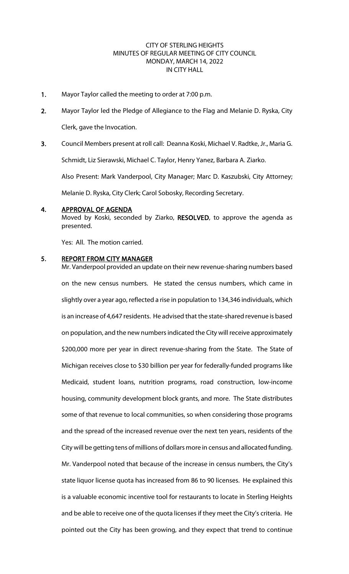### CITY OF STERLING HEIGHTS MINUTES OF REGULAR MEETING OF CITY COUNCIL MONDAY, MARCH 14, 2022 IN CITY HALL

- 1. Mayor Taylor called the meeting to order at 7:00 p.m.
- 2. Mayor Taylor led the Pledge of Allegiance to the Flag and Melanie D. Ryska, City Clerk, gave the Invocation.
- 3. Council Members present at roll call: Deanna Koski, Michael V. Radtke, Jr., Maria G.

Schmidt, Liz Sierawski, Michael C. Taylor, Henry Yanez, Barbara A. Ziarko.

Also Present: Mark Vanderpool, City Manager; Marc D. Kaszubski, City Attorney;

Melanie D. Ryska, City Clerk; Carol Sobosky, Recording Secretary.

#### 4. APPROVAL OF AGENDA

Moved by Koski, seconded by Ziarko, RESOLVED, to approve the agenda as presented.

Yes: All. The motion carried.

### 5. REPORT FROM CITY MANAGER

Mr. Vanderpool provided an update on their new revenue-sharing numbers based on the new census numbers. He stated the census numbers, which came in slightly over a year ago, reflected a rise in population to 134,346 individuals, which is an increase of 4,647 residents. He advised that the state-shared revenue is based on population, and the new numbers indicated the City will receive approximately \$200,000 more per year in direct revenue-sharing from the State. The State of Michigan receives close to \$30 billion per year for federally-funded programs like Medicaid, student loans, nutrition programs, road construction, low-income housing, community development block grants, and more. The State distributes some of that revenue to local communities, so when considering those programs and the spread of the increased revenue over the next ten years, residents of the City will be getting tens of millions of dollars more in census and allocated funding. Mr. Vanderpool noted that because of the increase in census numbers, the City's state liquor license quota has increased from 86 to 90 licenses. He explained this is a valuable economic incentive tool for restaurants to locate in Sterling Heights and be able to receive one of the quota licenses if they meet the City's criteria. He pointed out the City has been growing, and they expect that trend to continue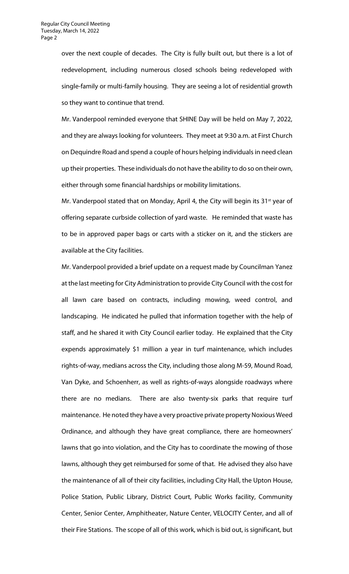over the next couple of decades. The City is fully built out, but there is a lot of redevelopment, including numerous closed schools being redeveloped with single-family or multi-family housing. They are seeing a lot of residential growth so they want to continue that trend.

Mr. Vanderpool reminded everyone that SHINE Day will be held on May 7, 2022, and they are always looking for volunteers. They meet at 9:30 a.m. at First Church on Dequindre Road and spend a couple of hours helping individuals in need clean up their properties. These individuals do not have the ability to do so on their own, either through some financial hardships or mobility limitations.

Mr. Vanderpool stated that on Monday, April 4, the City will begin its  $31^{st}$  year of offering separate curbside collection of yard waste. He reminded that waste has to be in approved paper bags or carts with a sticker on it, and the stickers are available at the City facilities.

Mr. Vanderpool provided a brief update on a request made by Councilman Yanez at the last meeting for City Administration to provide City Council with the cost for all lawn care based on contracts, including mowing, weed control, and landscaping. He indicated he pulled that information together with the help of staff, and he shared it with City Council earlier today. He explained that the City expends approximately \$1 million a year in turf maintenance, which includes rights-of-way, medians across the City, including those along M-59, Mound Road, Van Dyke, and Schoenherr, as well as rights-of-ways alongside roadways where there are no medians. There are also twenty-six parks that require turf maintenance. He noted they have a very proactive private property Noxious Weed Ordinance, and although they have great compliance, there are homeowners' lawns that go into violation, and the City has to coordinate the mowing of those lawns, although they get reimbursed for some of that. He advised they also have the maintenance of all of their city facilities, including City Hall, the Upton House, Police Station, Public Library, District Court, Public Works facility, Community Center, Senior Center, Amphitheater, Nature Center, VELOCITY Center, and all of their Fire Stations. The scope of all of this work, which is bid out, is significant, but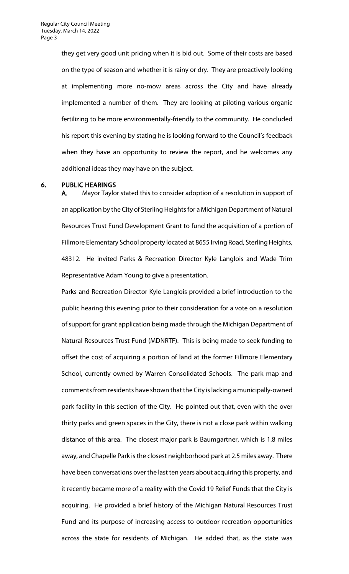they get very good unit pricing when it is bid out. Some of their costs are based on the type of season and whether it is rainy or dry. They are proactively looking at implementing more no-mow areas across the City and have already implemented a number of them. They are looking at piloting various organic fertilizing to be more environmentally-friendly to the community. He concluded his report this evening by stating he is looking forward to the Council's feedback when they have an opportunity to review the report, and he welcomes any additional ideas they may have on the subject.

#### 6. PUBLIC HEARINGS

A. Mayor Taylor stated this to consider adoption of a resolution in support of an application by the City of Sterling Heights for a Michigan Department of Natural Resources Trust Fund Development Grant to fund the acquisition of a portion of Fillmore Elementary School property located at 8655 Irving Road, Sterling Heights, 48312. He invited Parks & Recreation Director Kyle Langlois and Wade Trim Representative Adam Young to give a presentation.

Parks and Recreation Director Kyle Langlois provided a brief introduction to the public hearing this evening prior to their consideration for a vote on a resolution of support for grant application being made through the Michigan Department of Natural Resources Trust Fund (MDNRTF). This is being made to seek funding to offset the cost of acquiring a portion of land at the former Fillmore Elementary School, currently owned by Warren Consolidated Schools. The park map and comments from residents have shown that the City is lacking a municipally-owned park facility in this section of the City. He pointed out that, even with the over thirty parks and green spaces in the City, there is not a close park within walking distance of this area. The closest major park is Baumgartner, which is 1.8 miles away, and Chapelle Park is the closest neighborhood park at 2.5 miles away. There have been conversations over the last ten years about acquiring this property, and it recently became more of a reality with the Covid 19 Relief Funds that the City is acquiring. He provided a brief history of the Michigan Natural Resources Trust Fund and its purpose of increasing access to outdoor recreation opportunities across the state for residents of Michigan. He added that, as the state was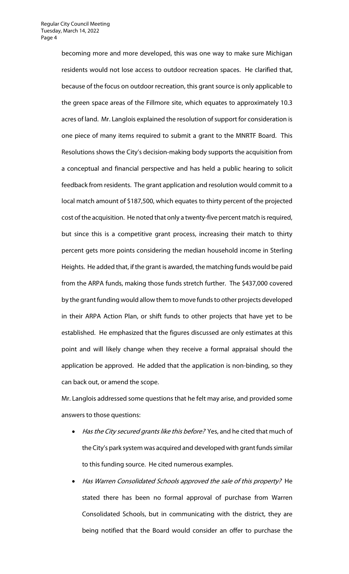becoming more and more developed, this was one way to make sure Michigan residents would not lose access to outdoor recreation spaces. He clarified that, because of the focus on outdoor recreation, this grant source is only applicable to the green space areas of the Fillmore site, which equates to approximately 10.3 acres of land. Mr. Langlois explained the resolution of support for consideration is one piece of many items required to submit a grant to the MNRTF Board. This Resolutions shows the City's decision-making body supports the acquisition from a conceptual and financial perspective and has held a public hearing to solicit feedback from residents. The grant application and resolution would commit to a local match amount of \$187,500, which equates to thirty percent of the projected cost of the acquisition. He noted that only a twenty-five percent match is required, but since this is a competitive grant process, increasing their match to thirty percent gets more points considering the median household income in Sterling Heights. He added that, if the grant is awarded, the matching funds would be paid from the ARPA funds, making those funds stretch further. The \$437,000 covered by the grant funding would allow them to move funds to other projects developed in their ARPA Action Plan, or shift funds to other projects that have yet to be established. He emphasized that the figures discussed are only estimates at this point and will likely change when they receive a formal appraisal should the application be approved. He added that the application is non-binding, so they can back out, or amend the scope.

Mr. Langlois addressed some questions that he felt may arise, and provided some answers to those questions:

- Has the City secured grants like this before? Yes, and he cited that much of the City's park system was acquired and developed with grant funds similar to this funding source. He cited numerous examples.
- Has Warren Consolidated Schools approved the sale of this property? He stated there has been no formal approval of purchase from Warren Consolidated Schools, but in communicating with the district, they are being notified that the Board would consider an offer to purchase the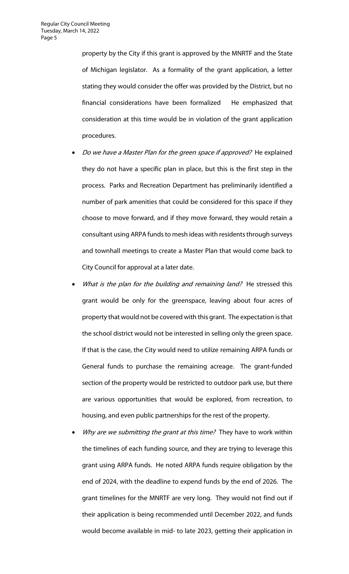property by the City if this grant is approved by the MNRTF and the State of Michigan legislator. As a formality of the grant application, a letter stating they would consider the offer was provided by the District, but no financial considerations have been formalized He emphasized that consideration at this time would be in violation of the grant application procedures.

- Do we have a Master Plan for the green space if approved? He explained they do not have a specific plan in place, but this is the first step in the process. Parks and Recreation Department has preliminarily identified a number of park amenities that could be considered for this space if they choose to move forward, and if they move forward, they would retain a consultant using ARPA funds to mesh ideas with residents through surveys and townhall meetings to create a Master Plan that would come back to City Council for approval at a later date.
- What is the plan for the building and remaining land? He stressed this grant would be only for the greenspace, leaving about four acres of property that would not be covered with this grant. The expectation is that the school district would not be interested in selling only the green space. If that is the case, the City would need to utilize remaining ARPA funds or General funds to purchase the remaining acreage. The grant-funded section of the property would be restricted to outdoor park use, but there are various opportunities that would be explored, from recreation, to housing, and even public partnerships for the rest of the property.
- Why are we submitting the grant at this time? They have to work within the timelines of each funding source, and they are trying to leverage this grant using ARPA funds. He noted ARPA funds require obligation by the end of 2024, with the deadline to expend funds by the end of 2026. The grant timelines for the MNRTF are very long. They would not find out if their application is being recommended until December 2022, and funds would become available in mid- to late 2023, getting their application in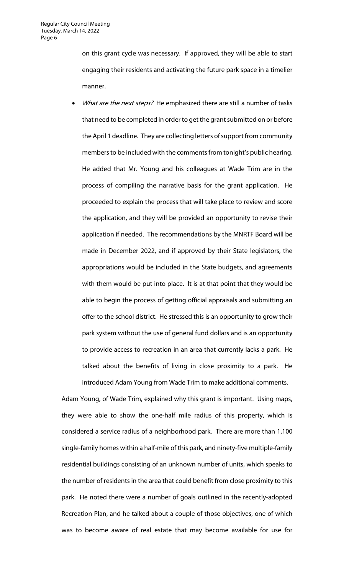on this grant cycle was necessary. If approved, they will be able to start engaging their residents and activating the future park space in a timelier manner.

What are the next steps? He emphasized there are still a number of tasks that need to be completed in order to get the grant submitted on or before the April 1 deadline. They are collecting letters of support from community members to be included with the comments from tonight's public hearing. He added that Mr. Young and his colleagues at Wade Trim are in the process of compiling the narrative basis for the grant application. He proceeded to explain the process that will take place to review and score the application, and they will be provided an opportunity to revise their application if needed. The recommendations by the MNRTF Board will be made in December 2022, and if approved by their State legislators, the appropriations would be included in the State budgets, and agreements with them would be put into place. It is at that point that they would be able to begin the process of getting official appraisals and submitting an offer to the school district. He stressed this is an opportunity to grow their park system without the use of general fund dollars and is an opportunity to provide access to recreation in an area that currently lacks a park. He talked about the benefits of living in close proximity to a park. He introduced Adam Young from Wade Trim to make additional comments.

Adam Young, of Wade Trim, explained why this grant is important. Using maps, they were able to show the one-half mile radius of this property, which is considered a service radius of a neighborhood park. There are more than 1,100 single-family homes within a half-mile of this park, and ninety-five multiple-family residential buildings consisting of an unknown number of units, which speaks to the number of residents in the area that could benefit from close proximity to this park. He noted there were a number of goals outlined in the recently-adopted Recreation Plan, and he talked about a couple of those objectives, one of which was to become aware of real estate that may become available for use for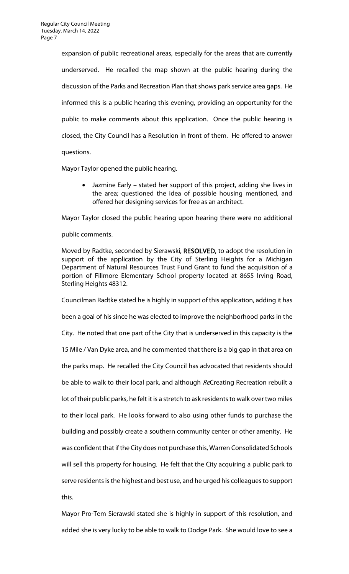expansion of public recreational areas, especially for the areas that are currently underserved. He recalled the map shown at the public hearing during the discussion of the Parks and Recreation Plan that shows park service area gaps. He informed this is a public hearing this evening, providing an opportunity for the public to make comments about this application. Once the public hearing is closed, the City Council has a Resolution in front of them. He offered to answer questions.

Mayor Taylor opened the public hearing.

• Jazmine Early – stated her support of this project, adding she lives in the area; questioned the idea of possible housing mentioned, and offered her designing services for free as an architect.

Mayor Taylor closed the public hearing upon hearing there were no additional public comments.

Moved by Radtke, seconded by Sierawski, RESOLVED, to adopt the resolution in support of the application by the City of Sterling Heights for a Michigan Department of Natural Resources Trust Fund Grant to fund the acquisition of a portion of Fillmore Elementary School property located at 8655 Irving Road, Sterling Heights 48312.

Councilman Radtke stated he is highly in support of this application, adding it has been a goal of his since he was elected to improve the neighborhood parks in the City. He noted that one part of the City that is underserved in this capacity is the 15 Mile / Van Dyke area, and he commented that there is a big gap in that area on the parks map. He recalled the City Council has advocated that residents should be able to walk to their local park, and although ReCreating Recreation rebuilt a lot of their public parks, he felt it is a stretch to ask residents to walk over two miles to their local park. He looks forward to also using other funds to purchase the building and possibly create a southern community center or other amenity. He was confident that if the City does not purchase this, Warren Consolidated Schools will sell this property for housing. He felt that the City acquiring a public park to serve residents is the highest and best use, and he urged his colleagues to support this.

Mayor Pro-Tem Sierawski stated she is highly in support of this resolution, and added she is very lucky to be able to walk to Dodge Park. She would love to see a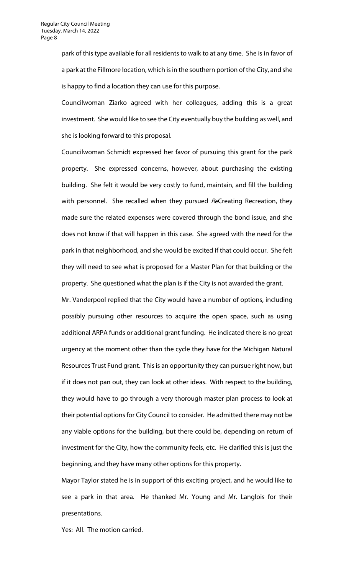park of this type available for all residents to walk to at any time. She is in favor of a park at the Fillmore location, which is in the southern portion of the City, and she is happy to find a location they can use for this purpose.

Councilwoman Ziarko agreed with her colleagues, adding this is a great investment. She would like to see the City eventually buy the building as well, and she is looking forward to this proposal.

Councilwoman Schmidt expressed her favor of pursuing this grant for the park property. She expressed concerns, however, about purchasing the existing building. She felt it would be very costly to fund, maintain, and fill the building with personnel. She recalled when they pursued ReCreating Recreation, they made sure the related expenses were covered through the bond issue, and she does not know if that will happen in this case. She agreed with the need for the park in that neighborhood, and she would be excited if that could occur. She felt they will need to see what is proposed for a Master Plan for that building or the property. She questioned what the plan is if the City is not awarded the grant.

Mr. Vanderpool replied that the City would have a number of options, including possibly pursuing other resources to acquire the open space, such as using additional ARPA funds or additional grant funding. He indicated there is no great urgency at the moment other than the cycle they have for the Michigan Natural Resources Trust Fund grant. This is an opportunity they can pursue right now, but if it does not pan out, they can look at other ideas. With respect to the building, they would have to go through a very thorough master plan process to look at their potential options for City Council to consider. He admitted there may not be any viable options for the building, but there could be, depending on return of investment for the City, how the community feels, etc. He clarified this is just the beginning, and they have many other options for this property.

Mayor Taylor stated he is in support of this exciting project, and he would like to see a park in that area. He thanked Mr. Young and Mr. Langlois for their presentations.

Yes: All. The motion carried.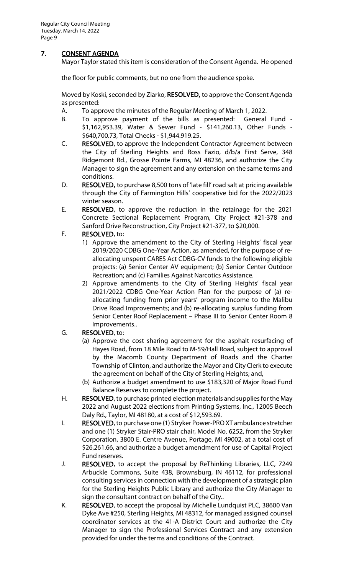# 7. CONSENT AGENDA

Mayor Taylor stated this item is consideration of the Consent Agenda. He opened

the floor for public comments, but no one from the audience spoke.

Moved by Koski, seconded by Ziarko, RESOLVED, to approve the Consent Agenda as presented:

- A. To approve the minutes of the Regular Meeting of March 1, 2022.
- B. To approve payment of the bills as presented: General Fund \$1,162,953.39, Water & Sewer Fund - \$141,260.13, Other Funds - \$640,700.73, Total Checks - \$1,944.919.25.
- C. RESOLVED, to approve the Independent Contractor Agreement between the City of Sterling Heights and Ross Fazio, d/b/a First Serve, 348 Ridgemont Rd., Grosse Pointe Farms, MI 48236, and authorize the City Manager to sign the agreement and any extension on the same terms and conditions.
- D. RESOLVED, to purchase 8,500 tons of 'late fill' road salt at pricing available through the City of Farmington Hills' cooperative bid for the 2022/2023 winter season.
- E. RESOLVED, to approve the reduction in the retainage for the 2021 Concrete Sectional Replacement Program, City Project #21-378 and Sanford Drive Reconstruction, City Project #21-377, to \$20,000.

## F. RESOLVED, to:

- 1) Approve the amendment to the City of Sterling Heights' fiscal year 2019/2020 CDBG One-Year Action, as amended, for the purpose of reallocating unspent CARES Act CDBG-CV funds to the following eligible projects: (a) Senior Center AV equipment; (b) Senior Center Outdoor Recreation; and (c) Families Against Narcotics Assistance.
- 2) Approve amendments to the City of Sterling Heights' fiscal year 2021/2022 CDBG One-Year Action Plan for the purpose of (a) reallocating funding from prior years' program income to the Malibu Drive Road Improvements; and (b) re-allocating surplus funding from Senior Center Roof Replacement – Phase III to Senior Center Room 8 Improvements..

### G. RESOLVED, to:

- (a) Approve the cost sharing agreement for the asphalt resurfacing of Hayes Road, from 18 Mile Road to M-59/Hall Road, subject to approval by the Macomb County Department of Roads and the Charter Township of Clinton, and authorize the Mayor and City Clerk to execute the agreement on behalf of the City of Sterling Heights; and,
- (b) Authorize a budget amendment to use \$183,320 of Major Road Fund Balance Reserves to complete the project.
- H. RESOLVED, to purchase printed election materials and supplies for the May 2022 and August 2022 elections from Printing Systems, Inc., 12005 Beech Daly Rd., Taylor, MI 48180, at a cost of \$12,593.69.
- I. RESOLVED, to purchase one (1) Stryker Power-PRO XT ambulance stretcher and one (1) Stryker Stair-PRO stair chair, Model No. 6252, from the Stryker Corporation, 3800 E. Centre Avenue, Portage, MI 49002, at a total cost of \$26,261.66, and authorize a budget amendment for use of Capital Project Fund reserves.
- J. RESOLVED, to accept the proposal by ReThinking Libraries, LLC, 7249 Arbuckle Commons, Suite 438, Brownsburg, IN 46112, for professional consulting services in connection with the development of a strategic plan for the Sterling Heights Public Library and authorize the City Manager to sign the consultant contract on behalf of the City..
- K. RESOLVED, to accept the proposal by Michelle Lundquist PLC, 38600 Van Dyke Ave #250, Sterling Heights, MI 48312, for managed assigned counsel coordinator services at the 41-A District Court and authorize the City Manager to sign the Professional Services Contract and any extension provided for under the terms and conditions of the Contract.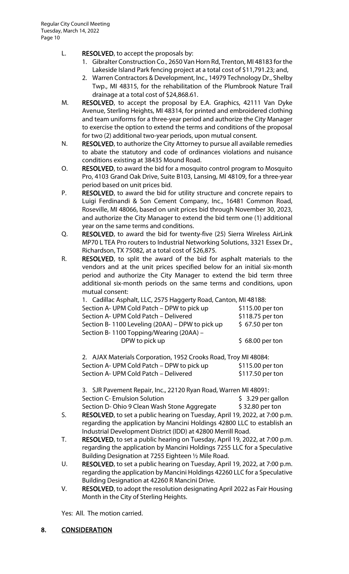- L. RESOLVED, to accept the proposals by:
	- 1. Gibralter Construction Co., 2650 Van Horn Rd, Trenton, MI 48183 for the Lakeside Island Park fencing project at a total cost of \$11,791.23; and,
	- 2. Warren Contractors & Development, Inc., 14979 Technology Dr., Shelby Twp., MI 48315, for the rehabilitation of the Plumbrook Nature Trail drainage at a total cost of \$24,868.61.
- M. RESOLVED, to accept the proposal by E.A. Graphics, 42111 Van Dyke Avenue, Sterling Heights, MI 48314, for printed and embroidered clothing and team uniforms for a three-year period and authorize the City Manager to exercise the option to extend the terms and conditions of the proposal for two (2) additional two-year periods, upon mutual consent.
- N. RESOLVED, to authorize the City Attorney to pursue all available remedies to abate the statutory and code of ordinances violations and nuisance conditions existing at 38435 Mound Road.
- O. RESOLVED, to award the bid for a mosquito control program to Mosquito Pro, 4103 Grand Oak Drive, Suite B103, Lansing, MI 48109, for a three-year period based on unit prices bid.
- P. RESOLVED, to award the bid for utility structure and concrete repairs to Luigi Ferdinandi & Son Cement Company, Inc., 16481 Common Road, Roseville, MI 48066, based on unit prices bid through November 30, 2023, and authorize the City Manager to extend the bid term one (1) additional year on the same terms and conditions.
- Q. RESOLVED, to award the bid for twenty-five (25) Sierra Wireless AirLink MP70 L TEA Pro routers to Industrial Networking Solutions, 3321 Essex Dr., Richardson, TX 75082, at a total cost of \$26,875.
- R. RESOLVED, to split the award of the bid for asphalt materials to the vendors and at the unit prices specified below for an initial six-month period and authorize the City Manager to extend the bid term three additional six-month periods on the same terms and conditions, upon mutual consent:

| 1. Cadillac Asphalt, LLC, 2575 Haggerty Road, Canton, MI 48188: |                  |
|-----------------------------------------------------------------|------------------|
| Section A- UPM Cold Patch - DPW to pick up                      | \$115.00 per ton |
| Section A- UPM Cold Patch - Delivered                           | \$118.75 per ton |
| Section B-1100 Leveling (20AA) – DPW to pick up                 | $$67.50$ per ton |
| Section B-1100 Topping/Wearing (20AA) -                         |                  |
| DPW to pick up                                                  | $$68.00$ per ton |

| 2. AJAX Materials Corporation, 1952 Crooks Road, Troy MI 48084: |                  |
|-----------------------------------------------------------------|------------------|
| Section A- UPM Cold Patch – DPW to pick up                      | \$115.00 per ton |
| Section A- UPM Cold Patch - Delivered                           | \$117.50 per ton |

3. SJR Pavement Repair, Inc., 22120 Ryan Road, Warren MI 48091: Section C- Emulsion Solution **1998 5 3.29 per gallon** Section D- Ohio 9 Clean Wash Stone Aggregate \$ 32.80 per ton

- S. RESOLVED, to set a public hearing on Tuesday, April 19, 2022, at 7:00 p.m. regarding the application by Mancini Holdings 42800 LLC to establish an Industrial Development District (IDD) at 42800 Merrill Road.
- T. RESOLVED, to set a public hearing on Tuesday, April 19, 2022, at 7:00 p.m. regarding the application by Mancini Holdings 7255 LLC for a Speculative Building Designation at 7255 Eighteen ½ Mile Road.
- U. RESOLVED, to set a public hearing on Tuesday, April 19, 2022, at 7:00 p.m. regarding the application by Mancini Holdings 42260 LLC for a Speculative Building Designation at 42260 R Mancini Drive.
- V. RESOLVED, to adopt the resolution designating April 2022 as Fair Housing Month in the City of Sterling Heights.

Yes: All. The motion carried.

# 8. CONSIDERATION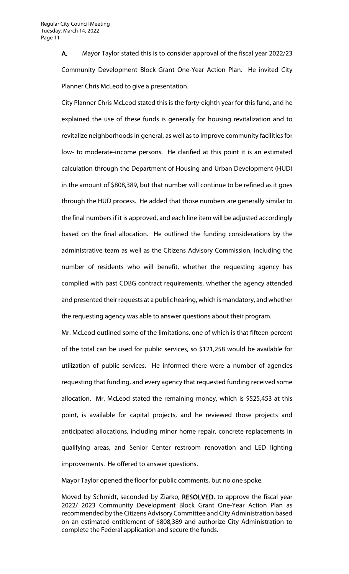A. Mayor Taylor stated this is to consider approval of the fiscal year 2022/23 Community Development Block Grant One-Year Action Plan. He invited City Planner Chris McLeod to give a presentation.

City Planner Chris McLeod stated this is the forty-eighth year for this fund, and he explained the use of these funds is generally for housing revitalization and to revitalize neighborhoods in general, as well as to improve community facilities for low- to moderate-income persons. He clarified at this point it is an estimated calculation through the Department of Housing and Urban Development (HUD) in the amount of \$808,389, but that number will continue to be refined as it goes through the HUD process. He added that those numbers are generally similar to the final numbers if it is approved, and each line item will be adjusted accordingly based on the final allocation. He outlined the funding considerations by the administrative team as well as the Citizens Advisory Commission, including the number of residents who will benefit, whether the requesting agency has complied with past CDBG contract requirements, whether the agency attended and presented their requests at a public hearing, which is mandatory, and whether the requesting agency was able to answer questions about their program.

Mr. McLeod outlined some of the limitations, one of which is that fifteen percent of the total can be used for public services, so \$121,258 would be available for utilization of public services. He informed there were a number of agencies requesting that funding, and every agency that requested funding received some allocation. Mr. McLeod stated the remaining money, which is \$525,453 at this point, is available for capital projects, and he reviewed those projects and anticipated allocations, including minor home repair, concrete replacements in qualifying areas, and Senior Center restroom renovation and LED lighting improvements. He offered to answer questions.

Mayor Taylor opened the floor for public comments, but no one spoke.

Moved by Schmidt, seconded by Ziarko, RESOLVED, to approve the fiscal year 2022/ 2023 Community Development Block Grant One-Year Action Plan as recommended by the Citizens Advisory Committee and City Administration based on an estimated entitlement of \$808,389 and authorize City Administration to complete the Federal application and secure the funds.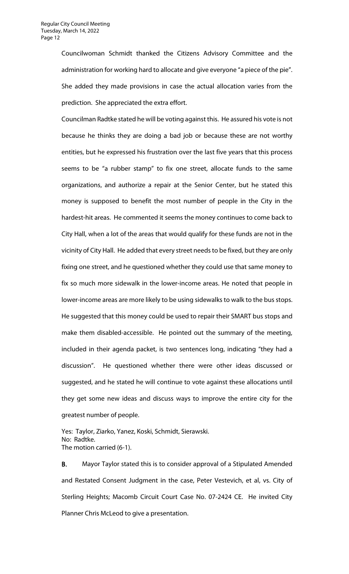Councilwoman Schmidt thanked the Citizens Advisory Committee and the administration for working hard to allocate and give everyone "a piece of the pie". She added they made provisions in case the actual allocation varies from the prediction. She appreciated the extra effort.

Councilman Radtke stated he will be voting against this. He assured his vote is not because he thinks they are doing a bad job or because these are not worthy entities, but he expressed his frustration over the last five years that this process seems to be "a rubber stamp" to fix one street, allocate funds to the same organizations, and authorize a repair at the Senior Center, but he stated this money is supposed to benefit the most number of people in the City in the hardest-hit areas. He commented it seems the money continues to come back to City Hall, when a lot of the areas that would qualify for these funds are not in the vicinity of City Hall. He added that every street needs to be fixed, but they are only fixing one street, and he questioned whether they could use that same money to fix so much more sidewalk in the lower-income areas. He noted that people in lower-income areas are more likely to be using sidewalks to walk to the bus stops. He suggested that this money could be used to repair their SMART bus stops and make them disabled-accessible. He pointed out the summary of the meeting, included in their agenda packet, is two sentences long, indicating "they had a discussion". He questioned whether there were other ideas discussed or suggested, and he stated he will continue to vote against these allocations until they get some new ideas and discuss ways to improve the entire city for the greatest number of people.

Yes: Taylor, Ziarko, Yanez, Koski, Schmidt, Sierawski. No: Radtke. The motion carried (6-1).

B. Mayor Taylor stated this is to consider approval of a Stipulated Amended and Restated Consent Judgment in the case, Peter Vestevich, et al, vs. City of Sterling Heights; Macomb Circuit Court Case No. 07-2424 CE. He invited City Planner Chris McLeod to give a presentation.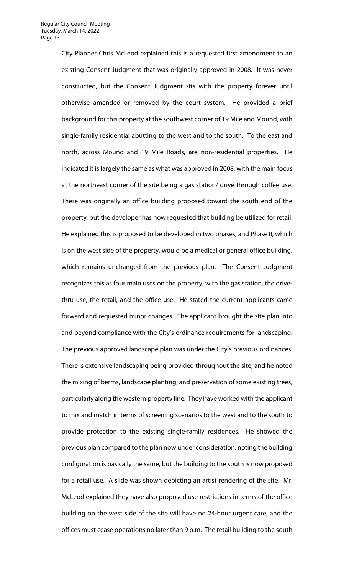City Planner Chris McLeod explained this is a requested first amendment to an existing Consent Judgment that was originally approved in 2008. It was never constructed, but the Consent Judgment sits with the property forever until otherwise amended or removed by the court system. He provided a brief background for this property at the southwest corner of 19 Mile and Mound, with single-family residential abutting to the west and to the south. To the east and north, across Mound and 19 Mile Roads, are non-residential properties. He indicated it is largely the same as what was approved in 2008, with the main focus at the northeast corner of the site being a gas station/ drive through coffee use. There was originally an office building proposed toward the south end of the property, but the developer has now requested that building be utilized for retail. He explained this is proposed to be developed in two phases, and Phase II, which is on the west side of the property, would be a medical or general office building, which remains unchanged from the previous plan. The Consent Judgment recognizes this as four main uses on the property, with the gas station, the drivethru use, the retail, and the office use. He stated the current applicants came forward and requested minor changes. The applicant brought the site plan into and beyond compliance with the City's ordinance requirements for landscaping. The previous approved landscape plan was under the City's previous ordinances. There is extensive landscaping being provided throughout the site, and he noted the mixing of berms, landscape planting, and preservation of some existing trees, particularly along the western property line. They have worked with the applicant to mix and match in terms of screening scenarios to the west and to the south to provide protection to the existing single-family residences. He showed the previous plan compared to the plan now under consideration, noting the building configuration is basically the same, but the building to the south is now proposed for a retail use. A slide was shown depicting an artist rendering of the site. Mr. McLeod explained they have also proposed use restrictions in terms of the office building on the west side of the site will have no 24-hour urgent care, and the offices must cease operations no later than 9 p.m. The retail building to the south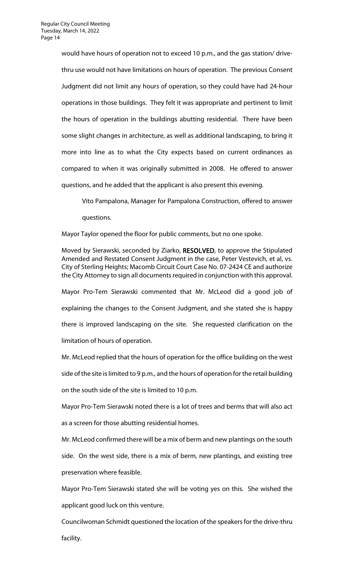would have hours of operation not to exceed 10 p.m., and the gas station/ drivethru use would not have limitations on hours of operation. The previous Consent Judgment did not limit any hours of operation, so they could have had 24-hour operations in those buildings. They felt it was appropriate and pertinent to limit the hours of operation in the buildings abutting residential. There have been some slight changes in architecture, as well as additional landscaping, to bring it more into line as to what the City expects based on current ordinances as compared to when it was originally submitted in 2008. He offered to answer questions, and he added that the applicant is also present this evening.

Vito Pampalona, Manager for Pampalona Construction, offered to answer questions.

Mayor Taylor opened the floor for public comments, but no one spoke.

Moved by Sierawski, seconded by Ziarko, RESOLVED, to approve the Stipulated Amended and Restated Consent Judgment in the case, Peter Vestevich, et al, vs. City of Sterling Heights; Macomb Circuit Court Case No. 07-2424 CE and authorize the City Attorney to sign all documents required in conjunction with this approval.

Mayor Pro-Tem Sierawski commented that Mr. McLeod did a good job of explaining the changes to the Consent Judgment, and she stated she is happy there is improved landscaping on the site. She requested clarification on the limitation of hours of operation.

Mr. McLeod replied that the hours of operation for the office building on the west side of the site is limited to 9 p.m., and the hours of operation for the retail building on the south side of the site is limited to 10 p.m.

Mayor Pro-Tem Sierawski noted there is a lot of trees and berms that will also act as a screen for those abutting residential homes.

Mr. McLeod confirmed there will be a mix of berm and new plantings on the south side. On the west side, there is a mix of berm, new plantings, and existing tree preservation where feasible.

Mayor Pro-Tem Sierawski stated she will be voting yes on this. She wished the applicant good luck on this venture.

Councilwoman Schmidt questioned the location of the speakers for the drive-thru facility.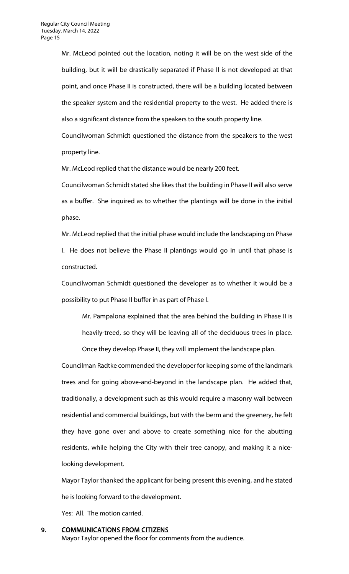Mr. McLeod pointed out the location, noting it will be on the west side of the building, but it will be drastically separated if Phase II is not developed at that point, and once Phase II is constructed, there will be a building located between the speaker system and the residential property to the west. He added there is also a significant distance from the speakers to the south property line.

Councilwoman Schmidt questioned the distance from the speakers to the west property line.

Mr. McLeod replied that the distance would be nearly 200 feet.

Councilwoman Schmidt stated she likes that the building in Phase II will also serve as a buffer. She inquired as to whether the plantings will be done in the initial phase.

Mr. McLeod replied that the initial phase would include the landscaping on Phase I. He does not believe the Phase II plantings would go in until that phase is constructed.

Councilwoman Schmidt questioned the developer as to whether it would be a possibility to put Phase II buffer in as part of Phase I.

Mr. Pampalona explained that the area behind the building in Phase II is heavily-treed, so they will be leaving all of the deciduous trees in place.

Once they develop Phase II, they will implement the landscape plan.

Councilman Radtke commended the developer for keeping some of the landmark trees and for going above-and-beyond in the landscape plan. He added that, traditionally, a development such as this would require a masonry wall between residential and commercial buildings, but with the berm and the greenery, he felt they have gone over and above to create something nice for the abutting residents, while helping the City with their tree canopy, and making it a nicelooking development.

Mayor Taylor thanked the applicant for being present this evening, and he stated he is looking forward to the development.

Yes: All. The motion carried.

9. COMMUNICATIONS FROM CITIZENS

Mayor Taylor opened the floor for comments from the audience.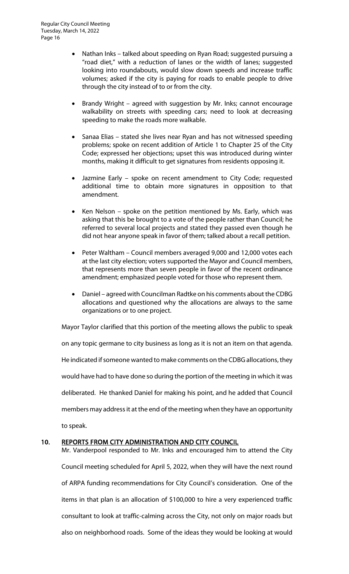- Nathan Inks talked about speeding on Ryan Road; suggested pursuing a "road diet," with a reduction of lanes or the width of lanes; suggested looking into roundabouts, would slow down speeds and increase traffic volumes; asked if the city is paying for roads to enable people to drive through the city instead of to or from the city.
- Brandy Wright agreed with suggestion by Mr. Inks; cannot encourage walkability on streets with speeding cars; need to look at decreasing speeding to make the roads more walkable.
- Sanaa Elias stated she lives near Ryan and has not witnessed speeding problems; spoke on recent addition of Article 1 to Chapter 25 of the City Code; expressed her objections; upset this was introduced during winter months, making it difficult to get signatures from residents opposing it.
- Jazmine Early spoke on recent amendment to City Code; requested additional time to obtain more signatures in opposition to that amendment.
- Ken Nelson spoke on the petition mentioned by Ms. Early, which was asking that this be brought to a vote of the people rather than Council; he referred to several local projects and stated they passed even though he did not hear anyone speak in favor of them; talked about a recall petition.
- Peter Waltham Council members averaged 9,000 and 12,000 votes each at the last city election; voters supported the Mayor and Council members, that represents more than seven people in favor of the recent ordinance amendment; emphasized people voted for those who represent them.
- Daniel agreed with Councilman Radtke on his comments about the CDBG allocations and questioned why the allocations are always to the same organizations or to one project.

Mayor Taylor clarified that this portion of the meeting allows the public to speak

on any topic germane to city business as long as it is not an item on that agenda. He indicated if someone wanted to make comments on the CDBG allocations, they would have had to have done so during the portion of the meeting in which it was deliberated. He thanked Daniel for making his point, and he added that Council members may address it at the end of the meeting when they have an opportunity

to speak.

### 10. REPORTS FROM CITY ADMINISTRATION AND CITY COUNCIL

Mr. Vanderpool responded to Mr. Inks and encouraged him to attend the City Council meeting scheduled for April 5, 2022, when they will have the next round of ARPA funding recommendations for City Council's consideration. One of the items in that plan is an allocation of \$100,000 to hire a very experienced traffic consultant to look at traffic-calming across the City, not only on major roads but also on neighborhood roads. Some of the ideas they would be looking at would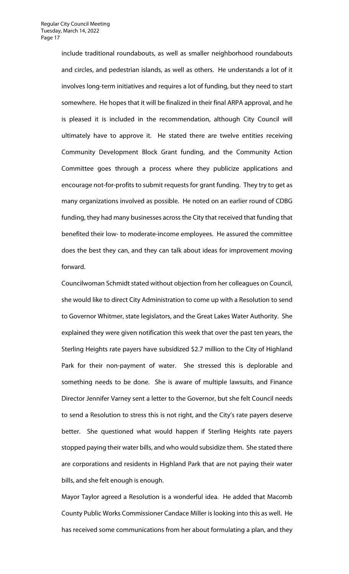include traditional roundabouts, as well as smaller neighborhood roundabouts and circles, and pedestrian islands, as well as others. He understands a lot of it involves long-term initiatives and requires a lot of funding, but they need to start somewhere. He hopes that it will be finalized in their final ARPA approval, and he is pleased it is included in the recommendation, although City Council will ultimately have to approve it. He stated there are twelve entities receiving Community Development Block Grant funding, and the Community Action Committee goes through a process where they publicize applications and encourage not-for-profits to submit requests for grant funding. They try to get as many organizations involved as possible. He noted on an earlier round of CDBG funding, they had many businesses across the City that received that funding that benefited their low- to moderate-income employees. He assured the committee does the best they can, and they can talk about ideas for improvement moving forward.

Councilwoman Schmidt stated without objection from her colleagues on Council, she would like to direct City Administration to come up with a Resolution to send to Governor Whitmer, state legislators, and the Great Lakes Water Authority. She explained they were given notification this week that over the past ten years, the Sterling Heights rate payers have subsidized \$2.7 million to the City of Highland Park for their non-payment of water. She stressed this is deplorable and something needs to be done. She is aware of multiple lawsuits, and Finance Director Jennifer Varney sent a letter to the Governor, but she felt Council needs to send a Resolution to stress this is not right, and the City's rate payers deserve better. She questioned what would happen if Sterling Heights rate payers stopped paying their water bills, and who would subsidize them. She stated there are corporations and residents in Highland Park that are not paying their water bills, and she felt enough is enough.

Mayor Taylor agreed a Resolution is a wonderful idea. He added that Macomb County Public Works Commissioner Candace Miller is looking into this as well. He has received some communications from her about formulating a plan, and they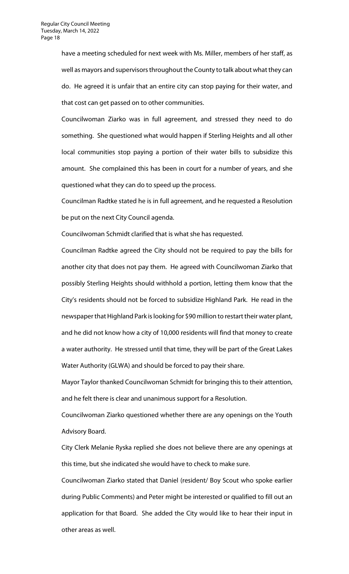have a meeting scheduled for next week with Ms. Miller, members of her staff, as well as mayors and supervisors throughout the County to talk about what they can do. He agreed it is unfair that an entire city can stop paying for their water, and that cost can get passed on to other communities.

Councilwoman Ziarko was in full agreement, and stressed they need to do something. She questioned what would happen if Sterling Heights and all other local communities stop paying a portion of their water bills to subsidize this amount. She complained this has been in court for a number of years, and she questioned what they can do to speed up the process.

Councilman Radtke stated he is in full agreement, and he requested a Resolution be put on the next City Council agenda.

Councilwoman Schmidt clarified that is what she has requested.

Councilman Radtke agreed the City should not be required to pay the bills for another city that does not pay them. He agreed with Councilwoman Ziarko that possibly Sterling Heights should withhold a portion, letting them know that the City's residents should not be forced to subsidize Highland Park. He read in the newspaper that Highland Park is looking for \$90 million to restart their water plant, and he did not know how a city of 10,000 residents will find that money to create a water authority. He stressed until that time, they will be part of the Great Lakes Water Authority (GLWA) and should be forced to pay their share.

Mayor Taylor thanked Councilwoman Schmidt for bringing this to their attention, and he felt there is clear and unanimous support for a Resolution.

Councilwoman Ziarko questioned whether there are any openings on the Youth Advisory Board.

City Clerk Melanie Ryska replied she does not believe there are any openings at this time, but she indicated she would have to check to make sure.

Councilwoman Ziarko stated that Daniel (resident/ Boy Scout who spoke earlier during Public Comments) and Peter might be interested or qualified to fill out an application for that Board. She added the City would like to hear their input in other areas as well.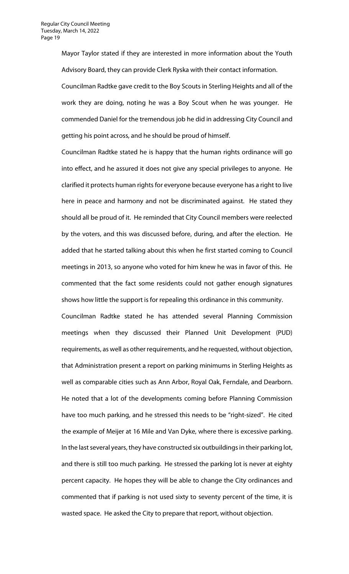Mayor Taylor stated if they are interested in more information about the Youth Advisory Board, they can provide Clerk Ryska with their contact information.

Councilman Radtke gave credit to the Boy Scouts in Sterling Heights and all of the work they are doing, noting he was a Boy Scout when he was younger. He commended Daniel for the tremendous job he did in addressing City Council and getting his point across, and he should be proud of himself.

Councilman Radtke stated he is happy that the human rights ordinance will go into effect, and he assured it does not give any special privileges to anyone. He clarified it protects human rights for everyone because everyone has a right to live here in peace and harmony and not be discriminated against. He stated they should all be proud of it. He reminded that City Council members were reelected by the voters, and this was discussed before, during, and after the election. He added that he started talking about this when he first started coming to Council meetings in 2013, so anyone who voted for him knew he was in favor of this. He commented that the fact some residents could not gather enough signatures shows how little the support is for repealing this ordinance in this community.

Councilman Radtke stated he has attended several Planning Commission meetings when they discussed their Planned Unit Development (PUD) requirements, as well as other requirements, and he requested, without objection, that Administration present a report on parking minimums in Sterling Heights as well as comparable cities such as Ann Arbor, Royal Oak, Ferndale, and Dearborn. He noted that a lot of the developments coming before Planning Commission have too much parking, and he stressed this needs to be "right-sized". He cited the example of Meijer at 16 Mile and Van Dyke, where there is excessive parking. In the last several years, they have constructed six outbuildings in their parking lot, and there is still too much parking. He stressed the parking lot is never at eighty percent capacity. He hopes they will be able to change the City ordinances and commented that if parking is not used sixty to seventy percent of the time, it is wasted space. He asked the City to prepare that report, without objection.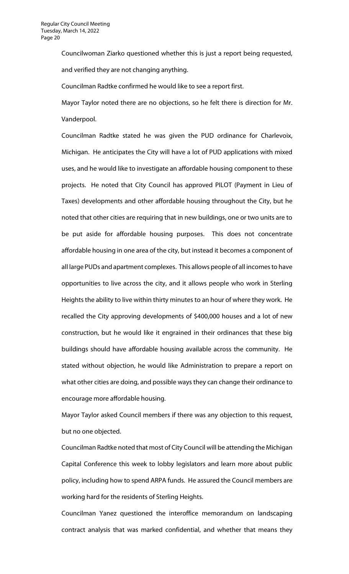Councilwoman Ziarko questioned whether this is just a report being requested, and verified they are not changing anything.

Councilman Radtke confirmed he would like to see a report first.

Mayor Taylor noted there are no objections, so he felt there is direction for Mr. Vanderpool.

Councilman Radtke stated he was given the PUD ordinance for Charlevoix, Michigan. He anticipates the City will have a lot of PUD applications with mixed uses, and he would like to investigate an affordable housing component to these projects. He noted that City Council has approved PILOT (Payment in Lieu of Taxes) developments and other affordable housing throughout the City, but he noted that other cities are requiring that in new buildings, one or two units are to be put aside for affordable housing purposes. This does not concentrate affordable housing in one area of the city, but instead it becomes a component of all large PUDs and apartment complexes. This allows people of all incomes to have opportunities to live across the city, and it allows people who work in Sterling Heights the ability to live within thirty minutes to an hour of where they work. He recalled the City approving developments of \$400,000 houses and a lot of new construction, but he would like it engrained in their ordinances that these big buildings should have affordable housing available across the community. He stated without objection, he would like Administration to prepare a report on what other cities are doing, and possible ways they can change their ordinance to encourage more affordable housing.

Mayor Taylor asked Council members if there was any objection to this request, but no one objected.

Councilman Radtke noted that most of City Council will be attending the Michigan Capital Conference this week to lobby legislators and learn more about public policy, including how to spend ARPA funds. He assured the Council members are working hard for the residents of Sterling Heights.

Councilman Yanez questioned the interoffice memorandum on landscaping contract analysis that was marked confidential, and whether that means they